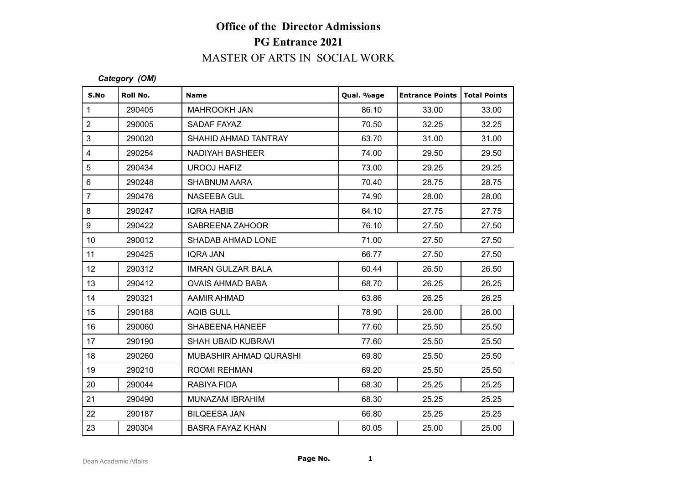# **Office of the Director Admissions PG Entrance 2021** MASTER OF ARTS IN SOCIAL WORK

#### *Category (OM)*

|                                      |               | <b>PG Entrance 2021</b>   |            |                        |                     |  |
|--------------------------------------|---------------|---------------------------|------------|------------------------|---------------------|--|
| <b>MASTER OF ARTS IN SOCIAL WORK</b> |               |                           |            |                        |                     |  |
|                                      | Category (OM) |                           |            |                        |                     |  |
| S.No                                 | Roll No.      | <b>Name</b>               | Qual. %age | <b>Entrance Points</b> | <b>Total Points</b> |  |
|                                      | 290405        | <b>MAHROOKH JAN</b>       | 86.10      | 33.00                  | 33.00               |  |
|                                      | 290005        | SADAF FAYAZ               | 70.50      | 32.25                  | 32.25               |  |
|                                      | 290020        | SHAHID AHMAD TANTRAY      | 63.70      | 31.00                  | 31.00               |  |
|                                      | 290254        | <b>NADIYAH BASHEER</b>    | 74.00      | 29.50                  | 29.50               |  |
|                                      | 290434        | <b>UROOJ HAFIZ</b>        | 73.00      | 29.25                  | 29.25               |  |
|                                      | 290248        | <b>SHABNUM AARA</b>       | 70.40      | 28.75                  | 28.75               |  |
|                                      | 290476        | <b>NASEEBA GUL</b>        | 74.90      | 28.00                  | 28.00               |  |
|                                      | 290247        | <b>IQRA HABIB</b>         | 64.10      | 27.75                  | 27.75               |  |
|                                      | 290422        | SABREENA ZAHOOR           | 76.10      | 27.50                  | 27.50               |  |
|                                      | 290012        | SHADAB AHMAD LONE         | 71.00      | 27.50                  | 27.50               |  |
|                                      | 290425        | <b>IQRA JAN</b>           | 66.77      | 27.50                  | 27.50               |  |
|                                      | 290312        | <b>IMRAN GULZAR BALA</b>  | 60.44      | 26.50                  | 26.50               |  |
|                                      | 290412        | <b>OVAIS AHMAD BABA</b>   | 68.70      | 26.25                  | 26.25               |  |
|                                      | 290321        | <b>AAMIR AHMAD</b>        | 63.86      | 26.25                  | 26.25               |  |
|                                      | 290188        | <b>AQIB GULL</b>          | 78.90      | 26.00                  | 26.00               |  |
|                                      | 290060        | SHABEENA HANEEF           | 77.60      | 25.50                  | 25.50               |  |
|                                      | 290190        | <b>SHAH UBAID KUBRAVI</b> | 77.60      | 25.50                  | 25.50               |  |
|                                      | 290260        | MUBASHIR AHMAD QURASHI    | 69.80      | 25.50                  | 25.50               |  |
|                                      | 290210        | <b>ROOMI REHMAN</b>       | 69.20      | 25.50                  | 25.50               |  |
|                                      | 290044        | RABIYA FIDA               | 68.30      | 25.25                  | 25.25               |  |
|                                      | 290490        | MUNAZAM IBRAHIM           | 68.30      | 25.25                  | 25.25               |  |
|                                      | 290187        | <b>BILQEESA JAN</b>       | 66.80      | 25.25                  | 25.25               |  |
|                                      | 290304        | <b>BASRA FAYAZ KHAN</b>   | 80.05      | 25.00                  | 25.00               |  |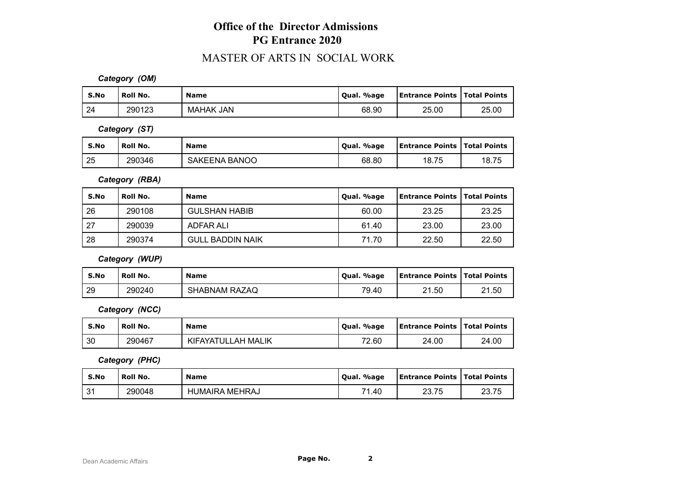# **Office of the Director Admissions PG Entrance 2020**

### MASTER OF ARTS IN SOCIAL WORK

*Category (OM)*

| S.No | Roll No. | <b>Name</b>      | %age<br>' Oual. | <b>Entrance Points   Total Points</b> |       |
|------|----------|------------------|-----------------|---------------------------------------|-------|
| 24   | 290123   | <b>MAHAK JAN</b> | 68.90           | 25.00                                 | 25.00 |

*Category (ST)*

| S.No | Roll No. | <b>Name</b>          | Qual. %age | <b>Entrance Points   Total Points</b> |       |
|------|----------|----------------------|------------|---------------------------------------|-------|
| 25   | 290346   | <b>SAKEENA BANOO</b> | 68.80      | 18.75                                 | 18.75 |

*Category (RBA)*

| S.No | Roll No. | <b>Name</b>             | Qual. %age | <b>Entrance Points   Total Points</b> |       |
|------|----------|-------------------------|------------|---------------------------------------|-------|
| 26   | 290108   | <b>GULSHAN HABIB</b>    | 60.00      | 23.25                                 | 23.25 |
| 127  | 290039   | ADFAR ALI               | 61.40      | 23.00                                 | 23.00 |
| 28   | 290374   | <b>GULL BADDIN NAIK</b> | 71.70      | 22.50                                 | 22.50 |

*Category (WUP)*

| S.No | <b>Roll No.</b> | <b>Name</b>          | . %age<br>' Oual. | Entrance Points   Total Points |       |
|------|-----------------|----------------------|-------------------|--------------------------------|-------|
| 29   | 290240          | <b>SHABNAM RAZAQ</b> | 79.40             | 21.50                          | 21.50 |

*Category (NCC)*

| S.No | Roll No. | <b>Name</b>        | Oual. %age | <b>Entrance Points   Total Points</b> |       |
|------|----------|--------------------|------------|---------------------------------------|-------|
| 30   | 290467   | KIFAYATULLAH MALIK | 72.60      | 24.00                                 | 24.00 |

*Category (PHC)*

| S.No     | <b>Roll No.</b> | <b>Name</b>    | Qual. %age  | <b>Entrance Points   Total Points</b> |       |
|----------|-----------------|----------------|-------------|---------------------------------------|-------|
| ⊿ ص<br>ັ | 290048          | HUMAIRA MEHRAJ | 74<br>40. ا | <b>00.75</b><br>20.IJ                 | 23.75 |